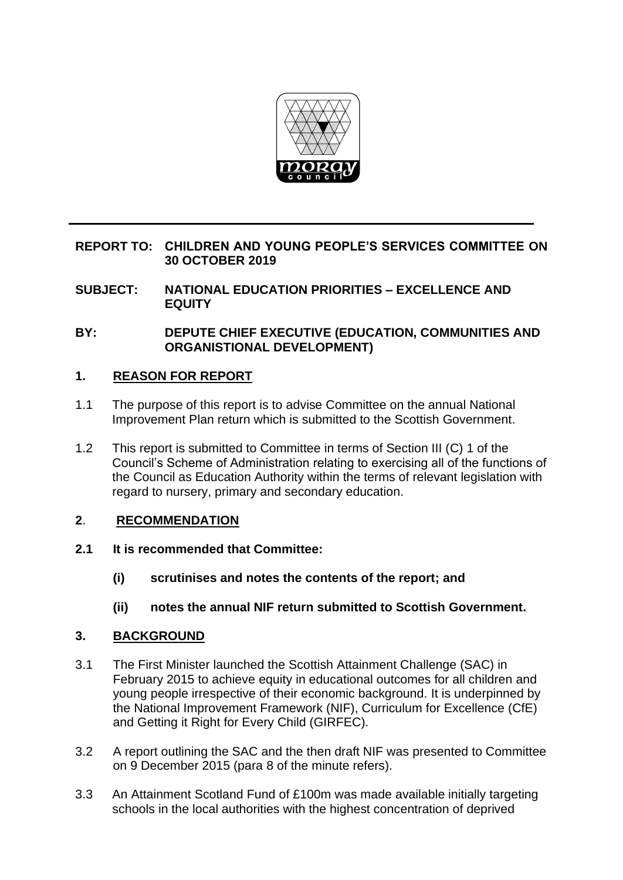

### **REPORT TO: CHILDREN AND YOUNG PEOPLE'S SERVICES COMMITTEE ON 30 OCTOBER 2019**

- **SUBJECT: NATIONAL EDUCATION PRIORITIES – EXCELLENCE AND EQUITY**
- **BY: DEPUTE CHIEF EXECUTIVE (EDUCATION, COMMUNITIES AND ORGANISTIONAL DEVELOPMENT)**

### **1. REASON FOR REPORT**

- 1.1 The purpose of this report is to advise Committee on the annual National Improvement Plan return which is submitted to the Scottish Government.
- 1.2 This report is submitted to Committee in terms of Section III (C) 1 of the Council's Scheme of Administration relating to exercising all of the functions of the Council as Education Authority within the terms of relevant legislation with regard to nursery, primary and secondary education.

## **2**. **RECOMMENDATION**

- **2.1 It is recommended that Committee:**
	- **(i) scrutinises and notes the contents of the report; and**
	- **(ii) notes the annual NIF return submitted to Scottish Government.**

## **3. BACKGROUND**

- 3.1 The First Minister launched the Scottish Attainment Challenge (SAC) in February 2015 to achieve equity in educational outcomes for all children and young people irrespective of their economic background. It is underpinned by the National Improvement Framework (NIF), Curriculum for Excellence (CfE) and Getting it Right for Every Child (GIRFEC).
- 3.2 A report outlining the SAC and the then draft NIF was presented to Committee on 9 December 2015 (para 8 of the minute refers).
- 3.3 An Attainment Scotland Fund of £100m was made available initially targeting schools in the local authorities with the highest concentration of deprived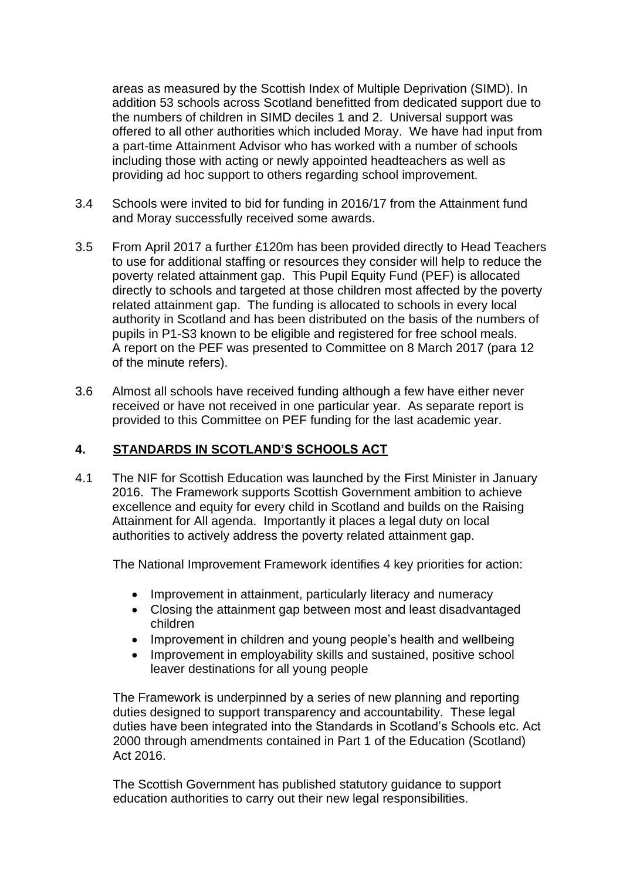areas as measured by the Scottish Index of Multiple Deprivation (SIMD). In addition 53 schools across Scotland benefitted from dedicated support due to the numbers of children in SIMD deciles 1 and 2. Universal support was offered to all other authorities which included Moray. We have had input from a part-time Attainment Advisor who has worked with a number of schools including those with acting or newly appointed headteachers as well as providing ad hoc support to others regarding school improvement.

- 3.4 Schools were invited to bid for funding in 2016/17 from the Attainment fund and Moray successfully received some awards.
- 3.5 From April 2017 a further £120m has been provided directly to Head Teachers to use for additional staffing or resources they consider will help to reduce the poverty related attainment gap. This Pupil Equity Fund (PEF) is allocated directly to schools and targeted at those children most affected by the poverty related attainment gap. The funding is allocated to schools in every local authority in Scotland and has been distributed on the basis of the numbers of pupils in P1-S3 known to be eligible and registered for free school meals. A report on the PEF was presented to Committee on 8 March 2017 (para 12 of the minute refers).
- 3.6 Almost all schools have received funding although a few have either never received or have not received in one particular year. As separate report is provided to this Committee on PEF funding for the last academic year.

## **4. STANDARDS IN SCOTLAND'S SCHOOLS ACT**

4.1 The NIF for Scottish Education was launched by the First Minister in January 2016. The Framework supports Scottish Government ambition to achieve excellence and equity for every child in Scotland and builds on the Raising Attainment for All agenda. Importantly it places a legal duty on local authorities to actively address the poverty related attainment gap.

The National Improvement Framework identifies 4 key priorities for action:

- Improvement in attainment, particularly literacy and numeracy
- Closing the attainment gap between most and least disadvantaged children
- Improvement in children and young people's health and wellbeing
- Improvement in employability skills and sustained, positive school leaver destinations for all young people

The Framework is underpinned by a series of new planning and reporting duties designed to support transparency and accountability. These legal duties have been integrated into the Standards in Scotland's Schools etc. Act 2000 through amendments contained in Part 1 of the Education (Scotland) Act 2016.

The Scottish Government has published statutory guidance to support education authorities to carry out their new legal responsibilities.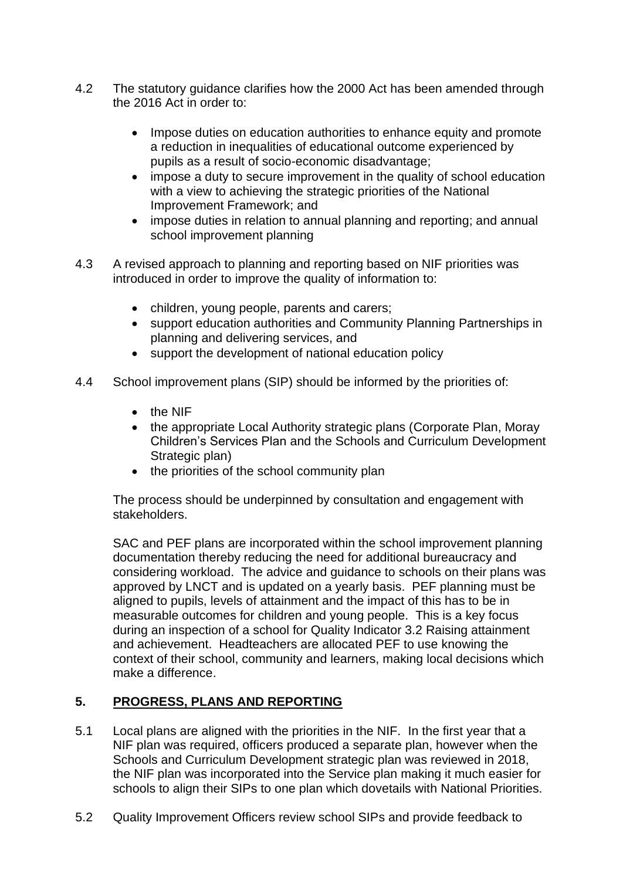- 4.2 The statutory guidance clarifies how the 2000 Act has been amended through the 2016 Act in order to:
	- Impose duties on education authorities to enhance equity and promote a reduction in inequalities of educational outcome experienced by pupils as a result of socio-economic disadvantage;
	- impose a duty to secure improvement in the quality of school education with a view to achieving the strategic priorities of the National Improvement Framework; and
	- impose duties in relation to annual planning and reporting; and annual school improvement planning
- 4.3 A revised approach to planning and reporting based on NIF priorities was introduced in order to improve the quality of information to:
	- children, young people, parents and carers;
	- support education authorities and Community Planning Partnerships in planning and delivering services, and
	- support the development of national education policy
- 4.4 School improvement plans (SIP) should be informed by the priorities of:
	- the NIF
	- the appropriate Local Authority strategic plans (Corporate Plan, Moray Children's Services Plan and the Schools and Curriculum Development Strategic plan)
	- the priorities of the school community plan

The process should be underpinned by consultation and engagement with stakeholders.

SAC and PEF plans are incorporated within the school improvement planning documentation thereby reducing the need for additional bureaucracy and considering workload. The advice and guidance to schools on their plans was approved by LNCT and is updated on a yearly basis. PEF planning must be aligned to pupils, levels of attainment and the impact of this has to be in measurable outcomes for children and young people. This is a key focus during an inspection of a school for Quality Indicator 3.2 Raising attainment and achievement. Headteachers are allocated PEF to use knowing the context of their school, community and learners, making local decisions which make a difference.

# **5. PROGRESS, PLANS AND REPORTING**

- 5.1 Local plans are aligned with the priorities in the NIF. In the first year that a NIF plan was required, officers produced a separate plan, however when the Schools and Curriculum Development strategic plan was reviewed in 2018, the NIF plan was incorporated into the Service plan making it much easier for schools to align their SIPs to one plan which dovetails with National Priorities.
- 5.2 Quality Improvement Officers review school SIPs and provide feedback to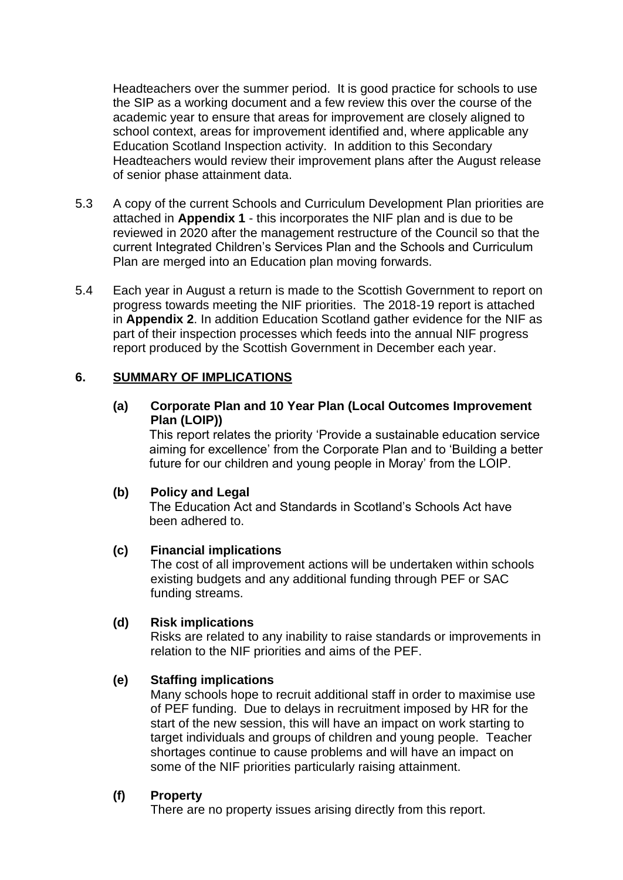Headteachers over the summer period. It is good practice for schools to use the SIP as a working document and a few review this over the course of the academic year to ensure that areas for improvement are closely aligned to school context, areas for improvement identified and, where applicable any Education Scotland Inspection activity. In addition to this Secondary Headteachers would review their improvement plans after the August release of senior phase attainment data.

- 5.3 A copy of the current Schools and Curriculum Development Plan priorities are attached in **Appendix 1** - this incorporates the NIF plan and is due to be reviewed in 2020 after the management restructure of the Council so that the current Integrated Children's Services Plan and the Schools and Curriculum Plan are merged into an Education plan moving forwards.
- 5.4 Each year in August a return is made to the Scottish Government to report on progress towards meeting the NIF priorities. The 2018-19 report is attached in **Appendix 2**. In addition Education Scotland gather evidence for the NIF as part of their inspection processes which feeds into the annual NIF progress report produced by the Scottish Government in December each year.

### **6. SUMMARY OF IMPLICATIONS**

### **(a) Corporate Plan and 10 Year Plan (Local Outcomes Improvement Plan (LOIP))**

This report relates the priority 'Provide a sustainable education service aiming for excellence' from the Corporate Plan and to 'Building a better future for our children and young people in Moray' from the LOIP.

#### **(b) Policy and Legal**

The Education Act and Standards in Scotland's Schools Act have been adhered to.

#### **(c) Financial implications**

The cost of all improvement actions will be undertaken within schools existing budgets and any additional funding through PEF or SAC funding streams.

#### **(d) Risk implications**

Risks are related to any inability to raise standards or improvements in relation to the NIF priorities and aims of the PEF.

#### **(e) Staffing implications**

Many schools hope to recruit additional staff in order to maximise use of PEF funding. Due to delays in recruitment imposed by HR for the start of the new session, this will have an impact on work starting to target individuals and groups of children and young people. Teacher shortages continue to cause problems and will have an impact on some of the NIF priorities particularly raising attainment.

### **(f) Property**

There are no property issues arising directly from this report.